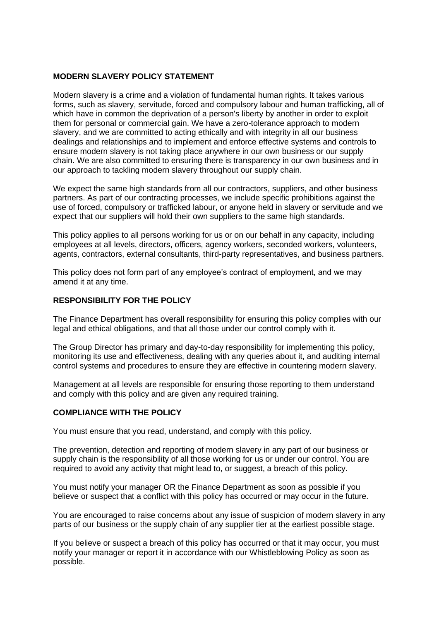# **MODERN SLAVERY POLICY STATEMENT**

Modern slavery is a crime and a violation of fundamental human rights. It takes various forms, such as slavery, servitude, forced and compulsory labour and human trafficking, all of which have in common the deprivation of a person's liberty by another in order to exploit them for personal or commercial gain. We have a zero-tolerance approach to modern slavery, and we are committed to acting ethically and with integrity in all our business dealings and relationships and to implement and enforce effective systems and controls to ensure modern slavery is not taking place anywhere in our own business or our supply chain. We are also committed to ensuring there is transparency in our own business and in our approach to tackling modern slavery throughout our supply chain.

We expect the same high standards from all our contractors, suppliers, and other business partners. As part of our contracting processes, we include specific prohibitions against the use of forced, compulsory or trafficked labour, or anyone held in slavery or servitude and we expect that our suppliers will hold their own suppliers to the same high standards.

This policy applies to all persons working for us or on our behalf in any capacity, including employees at all levels, directors, officers, agency workers, seconded workers, volunteers, agents, contractors, external consultants, third-party representatives, and business partners.

This policy does not form part of any employee's contract of employment, and we may amend it at any time.

# **RESPONSIBILITY FOR THE POLICY**

The Finance Department has overall responsibility for ensuring this policy complies with our legal and ethical obligations, and that all those under our control comply with it.

The Group Director has primary and day-to-day responsibility for implementing this policy, monitoring its use and effectiveness, dealing with any queries about it, and auditing internal control systems and procedures to ensure they are effective in countering modern slavery.

Management at all levels are responsible for ensuring those reporting to them understand and comply with this policy and are given any required training.

# **COMPLIANCE WITH THE POLICY**

You must ensure that you read, understand, and comply with this policy.

The prevention, detection and reporting of modern slavery in any part of our business or supply chain is the responsibility of all those working for us or under our control. You are required to avoid any activity that might lead to, or suggest, a breach of this policy.

You must notify your manager OR the Finance Department as soon as possible if you believe or suspect that a conflict with this policy has occurred or may occur in the future.

You are encouraged to raise concerns about any issue of suspicion of modern slavery in any parts of our business or the supply chain of any supplier tier at the earliest possible stage.

If you believe or suspect a breach of this policy has occurred or that it may occur, you must notify your manager or report it in accordance with our Whistleblowing Policy as soon as possible.